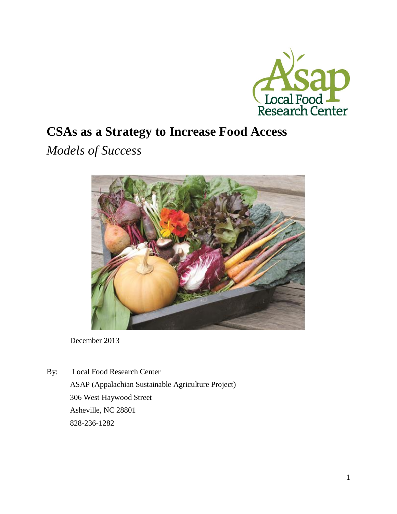

# **CSAs as a Strategy to Increase Food Access**

*Models of Success* 



December 2013

By: Local Food Research Center ASAP (Appalachian Sustainable Agriculture Project) 306 West Haywood Street Asheville, NC 28801 828-236-1282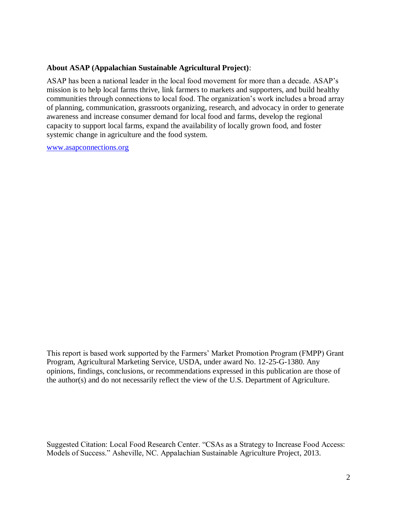#### **About ASAP (Appalachian Sustainable Agricultural Project)**:

ASAP has been a national leader in the local food movement for more than a decade. ASAP's mission is to help local farms thrive, link farmers to markets and supporters, and build healthy communities through connections to local food. The organization's work includes a broad array of planning, communication, grassroots organizing, research, and advocacy in order to generate awareness and increase consumer demand for local food and farms, develop the regional capacity to support local farms, expand the availability of locally grown food, and foster systemic change in agriculture and the food system.

[www.asapconnections.org](http://www.asapconnections.org/)

This report is based work supported by the Farmers' Market Promotion Program (FMPP) Grant Program, Agricultural Marketing Service, USDA, under award No. 12-25-G-1380. Any opinions, findings, conclusions, or recommendations expressed in this publication are those of the author(s) and do not necessarily reflect the view of the U.S. Department of Agriculture.

Suggested Citation: Local Food Research Center. "CSAs as a Strategy to Increase Food Access: Models of Success." Asheville, NC. Appalachian Sustainable Agriculture Project, 2013.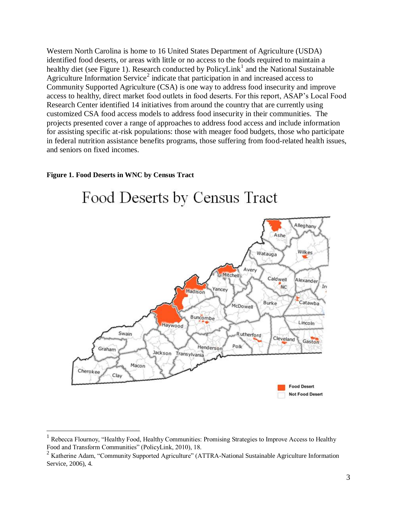Western North Carolina is home to 16 United States Department of Agriculture (USDA) identified food deserts, or areas with little or no access to the foods required to maintain a healthy diet (see Figure 1). Research conducted by PolicyLink<sup>1</sup> and the National Sustainable Agriculture Information Service<sup>2</sup> indicate that participation in and increased access to Community Supported Agriculture (CSA) is one way to address food insecurity and improve access to healthy, direct market food outlets in food deserts. For this report, ASAP's Local Food Research Center identified 14 initiatives from around the country that are currently using customized CSA food access models to address food insecurity in their communities. The projects presented cover a range of approaches to address food access and include information for assisting specific at-risk populations: those with meager food budgets, those who participate in federal nutrition assistance benefits programs, those suffering from food-related health issues, and seniors on fixed incomes.

#### **Figure 1. Food Deserts in WNC by Census Tract**

 $\overline{a}$ 



# Food Deserts by Census Tract

<sup>&</sup>lt;sup>1</sup> Rebecca Flournoy, "Healthy Food, Healthy Communities: Promising Strategies to Improve Access to Healthy Food and Transform Communities" (PolicyLink, 2010), 18.

<sup>&</sup>lt;sup>2</sup> Katherine Adam, "Community Supported Agriculture" (ATTRA-National Sustainable Agriculture Information Service, 2006), 4.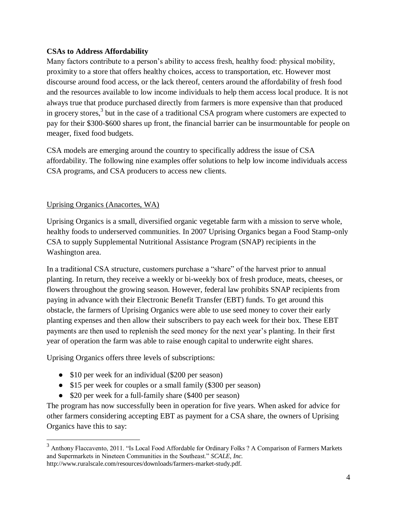## **CSAs to Address Affordability**

Many factors contribute to a person's ability to access fresh, healthy food: physical mobility, proximity to a store that offers healthy choices, access to transportation, etc. However most discourse around food access, or the lack thereof, centers around the affordability of fresh food and the resources available to low income individuals to help them access local produce. It is not always true that produce purchased directly from farmers is more expensive than that produced in grocery stores, $3$  but in the case of a traditional CSA program where customers are expected to pay for their \$300-\$600 shares up front, the financial barrier can be insurmountable for people on meager, fixed food budgets.

CSA models are emerging around the country to specifically address the issue of CSA affordability. The following nine examples offer solutions to help low income individuals access CSA programs, and CSA producers to access new clients.

# Uprising Organics (Anacortes, WA)

Uprising Organics is a small, diversified organic vegetable farm with a mission to serve whole, healthy foods to underserved communities. In 2007 Uprising Organics began a Food Stamp-only CSA to supply Supplemental Nutritional Assistance Program (SNAP) recipients in the Washington area.

In a traditional CSA structure, customers purchase a "share" of the harvest prior to annual planting. In return, they receive a weekly or bi-weekly box of fresh produce, meats, cheeses, or flowers throughout the growing season. However, federal law prohibits SNAP recipients from paying in advance with their Electronic Benefit Transfer (EBT) funds. To get around this obstacle, the farmers of Uprising Organics were able to use seed money to cover their early planting expenses and then allow their subscribers to pay each week for their box. These EBT payments are then used to replenish the seed money for the next year's planting. In their first year of operation the farm was able to raise enough capital to underwrite eight shares.

Uprising Organics offers three levels of subscriptions:

- \$10 per week for an individual (\$200 per season)
- \$15 per week for couples or a small family (\$300 per season)
- \$20 per week for a full-family share (\$400 per season)

The program has now successfully been in operation for five years. When asked for advice for other farmers considering accepting EBT as payment for a CSA share, the owners of Uprising Organics have this to say:

<sup>&</sup>lt;sup>3</sup> Anthony Flaccavento, 2011. "Is Local Food Affordable for Ordinary Folks ? A Comparison of Farmers Markets and Supermarkets in Nineteen Communities in the Southeast." *SCALE, Inc.*  http://www.ruralscale.com/resources/downloads/farmers-market-study.pdf.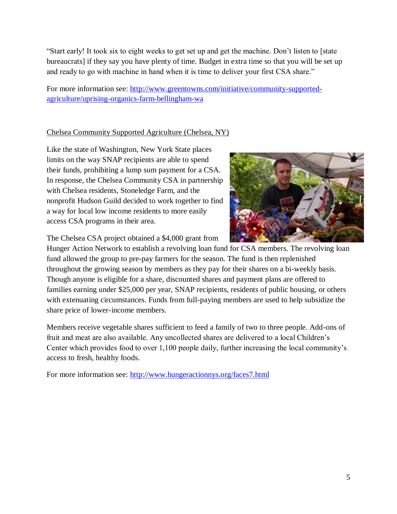"Start early! It took six to eight weeks to get set up and get the machine. Don't listen to [state bureaucrats] if they say you have plenty of time. Budget in extra time so that you will be set up and ready to go with machine in hand when it is time to deliver your first CSA share."

For more information see: [http://www.greentowns.com/initiative/community-supported](http://www.greentowns.com/initiative/community-supported-agriculture/uprising-organics-farm-bellingham-wa)[agriculture/uprising-organics-farm-bellingham-wa](http://www.greentowns.com/initiative/community-supported-agriculture/uprising-organics-farm-bellingham-wa)

# Chelsea Community Supported Agriculture (Chelsea, NY)

Like the state of Washington, New York State places limits on the way SNAP recipients are able to spend their funds, prohibiting a lump sum payment for a CSA. In response, the Chelsea Community CSA in partnership with Chelsea residents, Stoneledge Farm, and the nonprofit Hudson Guild decided to work together to find a way for local low income residents to more easily access CSA programs in their area.



The Chelsea CSA project obtained a \$4,000 grant from

Hunger Action Network to establish a revolving loan fund for CSA members. The revolving loan fund allowed the group to pre-pay farmers for the season. The fund is then replenished throughout the growing season by members as they pay for their shares on a bi-weekly basis. Though anyone is eligible for a share, discounted shares and payment plans are offered to families earning under \$25,000 per year, SNAP recipients, residents of public housing, or others with extenuating circumstances. Funds from full-paying members are used to help subsidize the share price of lower-income members.

Members receive vegetable shares sufficient to feed a family of two to three people. Add-ons of fruit and meat are also available. Any uncollected shares are delivered to a local Children's Center which provides food to over 1,100 people daily, further increasing the local community's access to fresh, healthy foods.

For more information see:<http://www.hungeractionnys.org/faces7.html>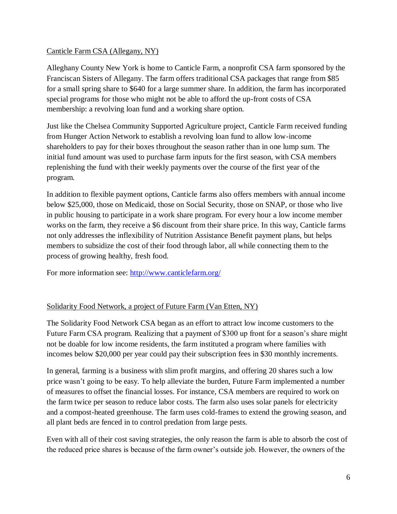#### Canticle Farm CSA (Allegany, NY)

Alleghany County New York is home to Canticle Farm, a nonprofit CSA farm sponsored by the Franciscan Sisters of Allegany. The farm offers traditional CSA packages that range from \$85 for a small spring share to \$640 for a large summer share. In addition, the farm has incorporated special programs for those who might not be able to afford the up-front costs of CSA membership: a revolving loan fund and a working share option.

Just like the Chelsea Community Supported Agriculture project, Canticle Farm received funding from Hunger Action Network to establish a revolving loan fund to allow low-income shareholders to pay for their boxes throughout the season rather than in one lump sum. The initial fund amount was used to purchase farm inputs for the first season, with CSA members replenishing the fund with their weekly payments over the course of the first year of the program.

In addition to flexible payment options, Canticle farms also offers members with annual income below \$25,000, those on Medicaid, those on Social Security, those on SNAP, or those who live in public housing to participate in a work share program. For every hour a low income member works on the farm, they receive a \$6 discount from their share price. In this way, Canticle farms not only addresses the inflexibility of Nutrition Assistance Benefit payment plans, but helps members to subsidize the cost of their food through labor, all while connecting them to the process of growing healthy, fresh food.

For more information see:<http://www.canticlefarm.org/>

#### Solidarity Food Network, a project of Future Farm (Van Etten, NY)

The Solidarity Food Network CSA began as an effort to attract low income customers to the Future Farm CSA program. Realizing that a payment of \$300 up front for a season's share might not be doable for low income residents, the farm instituted a program where families with incomes below \$20,000 per year could pay their subscription fees in \$30 monthly increments.

In general, farming is a business with slim profit margins, and offering 20 shares such a low price wasn't going to be easy. To help alleviate the burden, Future Farm implemented a number of measures to offset the financial losses. For instance, CSA members are required to work on the farm twice per season to reduce labor costs. The farm also uses solar panels for electricity and a compost-heated greenhouse. The farm uses cold-frames to extend the growing season, and all plant beds are fenced in to control predation from large pests.

Even with all of their cost saving strategies, the only reason the farm is able to absorb the cost of the reduced price shares is because of the farm owner's outside job. However, the owners of the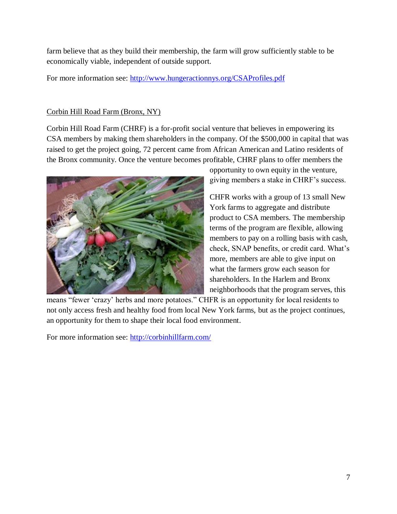farm believe that as they build their membership, the farm will grow sufficiently stable to be economically viable, independent of outside support.

For more information see:<http://www.hungeractionnys.org/CSAProfiles.pdf>

## Corbin Hill Road Farm (Bronx, NY)

Corbin Hill Road Farm (CHRF) is a for-profit social venture that believes in empowering its CSA members by making them shareholders in the company. Of the \$500,000 in capital that was raised to get the project going, 72 percent came from African American and Latino residents of the Bronx community. Once the venture becomes profitable, CHRF plans to offer members the



opportunity to own equity in the venture, giving members a stake in CHRF's success.

CHFR works with a group of 13 small New York farms to aggregate and distribute product to CSA members. The membership terms of the program are flexible, allowing members to pay on a rolling basis with cash, check, SNAP benefits, or credit card. What's more, members are able to give input on what the farmers grow each season for shareholders. In the Harlem and Bronx neighborhoods that the program serves, this

means "fewer 'crazy' herbs and more potatoes." CHFR is an opportunity for local residents to not only access fresh and healthy food from local New York farms, but as the project continues, an opportunity for them to shape their local food environment.

For more information see:<http://corbinhillfarm.com/>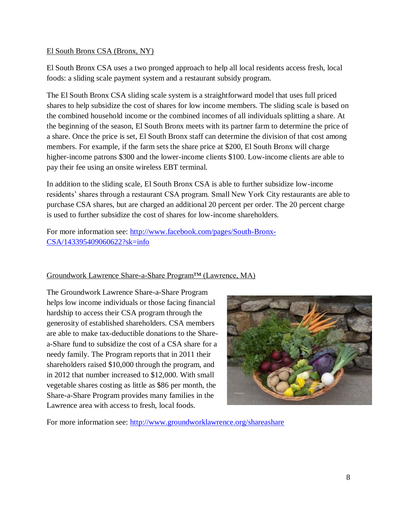#### El South Bronx CSA (Bronx, NY)

El South Bronx CSA uses a two pronged approach to help all local residents access fresh, local foods: a sliding scale payment system and a restaurant subsidy program.

The El South Bronx CSA sliding scale system is a straightforward model that uses full priced shares to help subsidize the cost of shares for low income members. The sliding scale is based on the combined household income or the combined incomes of all individuals splitting a share. At the beginning of the season, El South Bronx meets with its partner farm to determine the price of a share. Once the price is set, El South Bronx staff can determine the division of that cost among members. For example, if the farm sets the share price at \$200, El South Bronx will charge higher-income patrons \$300 and the lower-income clients \$100. Low-income clients are able to pay their fee using an onsite wireless EBT terminal.

In addition to the sliding scale, El South Bronx CSA is able to further subsidize low-income residents' shares through a restaurant CSA program. Small New York City restaurants are able to purchase CSA shares, but are charged an additional 20 percent per order. The 20 percent charge is used to further subsidize the cost of shares for low-income shareholders.

For more information see: [http://www.facebook.com/pages/South-Bronx-](http://www.facebook.com/pages/South-Bronx-CSA/143395409060622?sk=info)[CSA/143395409060622?sk=info](http://www.facebook.com/pages/South-Bronx-CSA/143395409060622?sk=info)

#### Groundwork Lawrence Share-a-Share Program™ (Lawrence, MA)

The Groundwork Lawrence Share-a-Share Program helps low income individuals or those facing financial hardship to access their CSA program through the generosity of established shareholders. CSA members are able to make tax-deductible donations to the Sharea-Share fund to subsidize the cost of a CSA share for a needy family. The Program reports that in 2011 their shareholders raised \$10,000 through the program, and in 2012 that number increased to \$12,000. With small vegetable shares costing as little as \$86 per month, the Share-a-Share Program provides many families in the Lawrence area with access to fresh, local foods.



For more information see:<http://www.groundworklawrence.org/shareashare>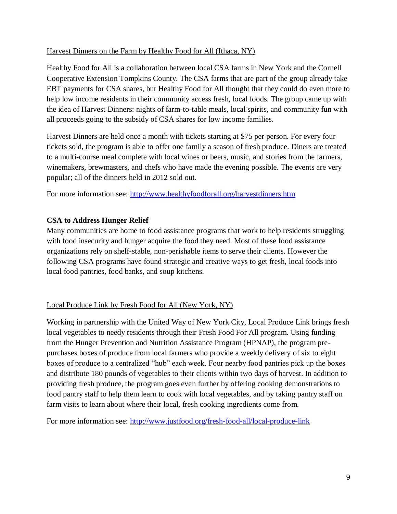#### Harvest Dinners on the Farm by Healthy Food for All (Ithaca, NY)

Healthy Food for All is a collaboration between local CSA farms in New York and the Cornell Cooperative Extension Tompkins County. The CSA farms that are part of the group already take EBT payments for CSA shares, but Healthy Food for All thought that they could do even more to help low income residents in their community access fresh, local foods. The group came up with the idea of Harvest Dinners: nights of farm-to-table meals, local spirits, and community fun with all proceeds going to the subsidy of CSA shares for low income families.

Harvest Dinners are held once a month with tickets starting at \$75 per person. For every four tickets sold, the program is able to offer one family a season of fresh produce. Diners are treated to a multi-course meal complete with local wines or beers, music, and stories from the farmers, winemakers, brewmasters, and chefs who have made the evening possible. The events are very popular; all of the dinners held in 2012 sold out.

For more information see:<http://www.healthyfoodforall.org/harvestdinners.htm>

#### **CSA to Address Hunger Relief**

Many communities are home to food assistance programs that work to help residents struggling with food insecurity and hunger acquire the food they need. Most of these food assistance organizations rely on shelf-stable, non-perishable items to serve their clients. However the following CSA programs have found strategic and creative ways to get fresh, local foods into local food pantries, food banks, and soup kitchens.

#### Local Produce Link by Fresh Food for All (New York, NY)

Working in partnership with the United Way of New York City, Local Produce Link brings fresh local vegetables to needy residents through their Fresh Food For All program. Using funding from the Hunger Prevention and Nutrition Assistance Program (HPNAP), the program prepurchases boxes of produce from local farmers who provide a weekly delivery of six to eight boxes of produce to a centralized "hub" each week. Four nearby food pantries pick up the boxes and distribute 180 pounds of vegetables to their clients within two days of harvest. In addition to providing fresh produce, the program goes even further by offering cooking demonstrations to food pantry staff to help them learn to cook with local vegetables, and by taking pantry staff on farm visits to learn about where their local, fresh cooking ingredients come from.

For more information see:<http://www.justfood.org/fresh-food-all/local-produce-link>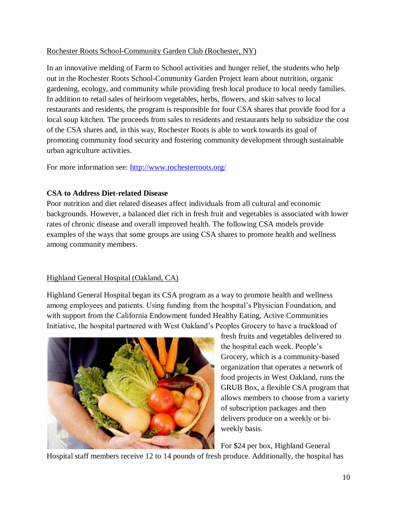#### Rochester Roots School-Community Garden Club (Rochester, NY)

In an innovative melding of Farm to School activities and hunger relief, the students who help out in the Rochester Roots School-Community Garden Project learn about nutrition, organic gardening, ecology, and community while providing fresh local produce to local needy families. In addition to retail sales of heirloom vegetables, herbs, flowers, and skin salves to local restaurants and residents, the program is responsible for four CSA shares that provide food for a local soup kitchen. The proceeds from sales to residents and restaurants help to subsidize the cost of the CSA shares and, in this way, Rochester Roots is able to work towards its goal of promoting community food security and fostering community development through sustainable urban agriculture activities.

For more information see:<http://www.rochesterroots.org/>

# **CSA to Address Diet-related Disease**

Poor nutrition and diet related diseases affect individuals from all cultural and economic backgrounds. However, a balanced diet rich in fresh fruit and vegetables is associated with lower rates of chronic disease and overall improved health. The following CSA models provide examples of the ways that some groups are using CSA shares to promote health and wellness among community members.

# Highland General Hospital (Oakland, CA)

Highland General Hospital began its CSA program as a way to promote health and wellness among employees and patients. Using funding from the hospital's Physician Foundation, and with support from the California Endowment funded Healthy Eating, Active Communities Initiative, the hospital partnered with West Oakland's Peoples Grocery to have a truckload of



fresh fruits and vegetables delivered to the hospital each week. People's Grocery, which is a community-based organization that operates a network of food projects in West Oakland, runs the GRUB Box, a flexible CSA program that allows members to choose from a variety of subscription packages and then delivers produce on a weekly or biweekly basis.

For \$24 per box, Highland General

Hospital staff members receive 12 to 14 pounds of fresh produce. Additionally, the hospital has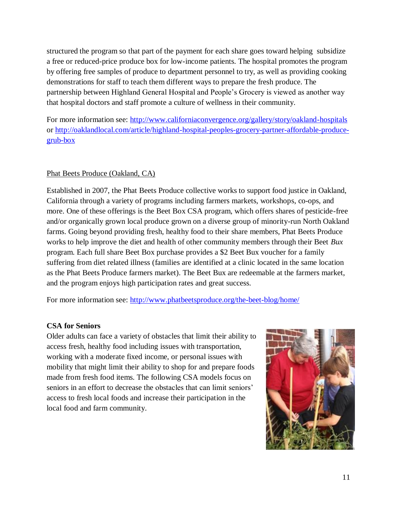structured the program so that part of the payment for each share goes toward helping subsidize a free or reduced-price produce box for low-income patients. The hospital promotes the program by offering free samples of produce to department personnel to try, as well as providing cooking demonstrations for staff to teach them different ways to prepare the fresh produce. The partnership between Highland General Hospital and People's Grocery is viewed as another way that hospital doctors and staff promote a culture of wellness in their community.

For more information see:<http://www.californiaconvergence.org/gallery/story/oakland-hospitals> or [http://oaklandlocal.com/article/highland-hospital-peoples-grocery-partner-affordable-produce](http://oaklandlocal.com/article/highland-hospital-peoples-grocery-partner-affordable-produce-grub-box)[grub-box](http://oaklandlocal.com/article/highland-hospital-peoples-grocery-partner-affordable-produce-grub-box)

#### Phat Beets Produce (Oakland, CA)

Established in 2007, the Phat Beets Produce collective works to support food justice in Oakland, California through a variety of programs including farmers markets, workshops, co-ops, and more. One of these offerings is the Beet Box CSA program, which offers shares of pesticide-free and/or organically grown local produce grown on a diverse group of minority-run North Oakland farms. Going beyond providing fresh, healthy food to their share members, Phat Beets Produce works to help improve the diet and health of other community members through their Beet *Bux*  program. Each full share Beet Box purchase provides a \$2 Beet Bux voucher for a family suffering from diet related illness (families are identified at a clinic located in the same location as the Phat Beets Produce farmers market). The Beet Bux are redeemable at the farmers market, and the program enjoys high participation rates and great success.

For more information see:<http://www.phatbeetsproduce.org/the-beet-blog/home/>

#### **CSA for Seniors**

Older adults can face a variety of obstacles that limit their ability to access fresh, healthy food including issues with transportation, working with a moderate fixed income, or personal issues with mobility that might limit their ability to shop for and prepare foods made from fresh food items. The following CSA models focus on seniors in an effort to decrease the obstacles that can limit seniors' access to fresh local foods and increase their participation in the local food and farm community.